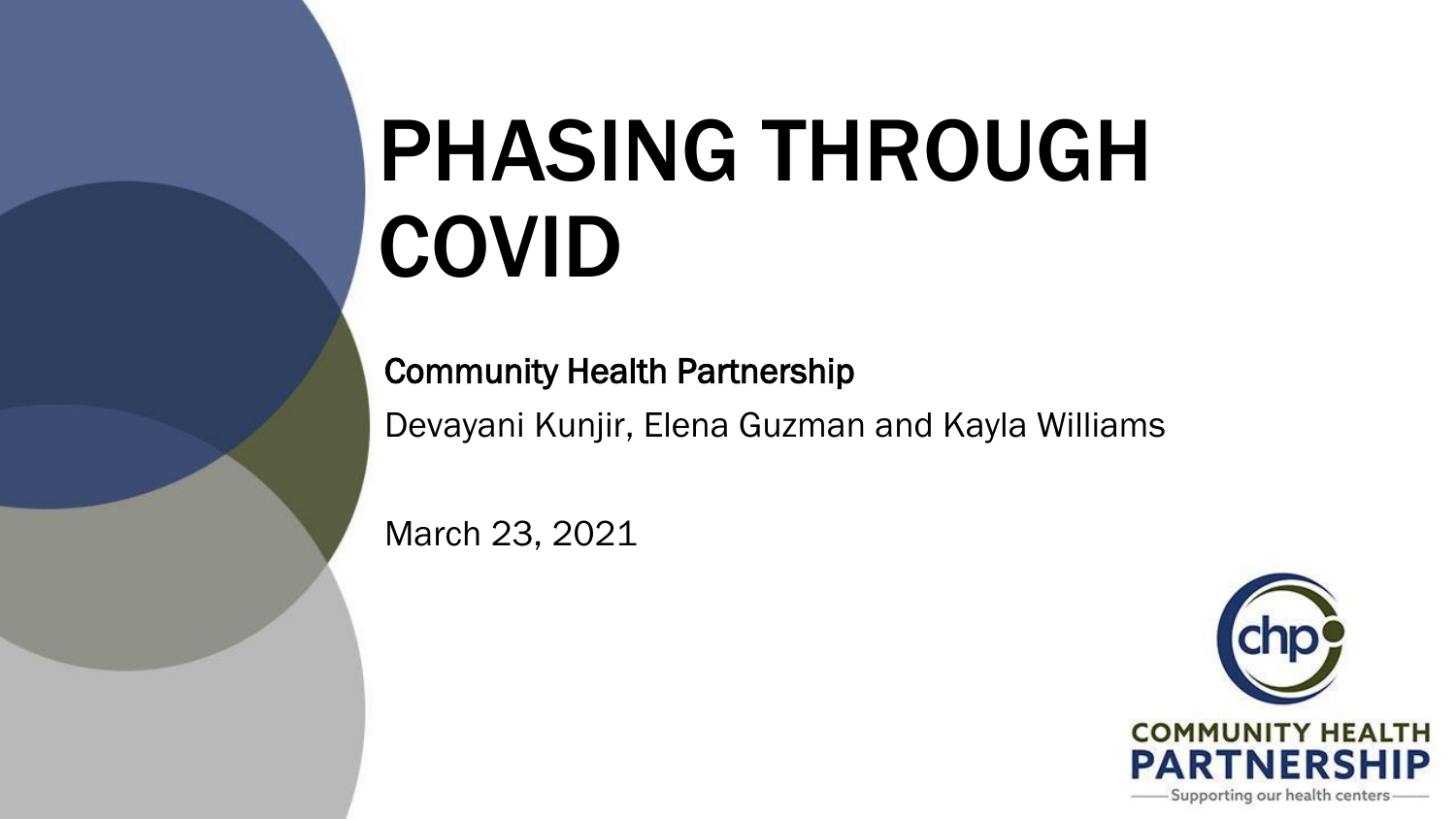# PHASING THROUGH COVID

Community Health Partnership Devayani Kunjir, Elena Guzman and Kayla Williams

March 23, 2021

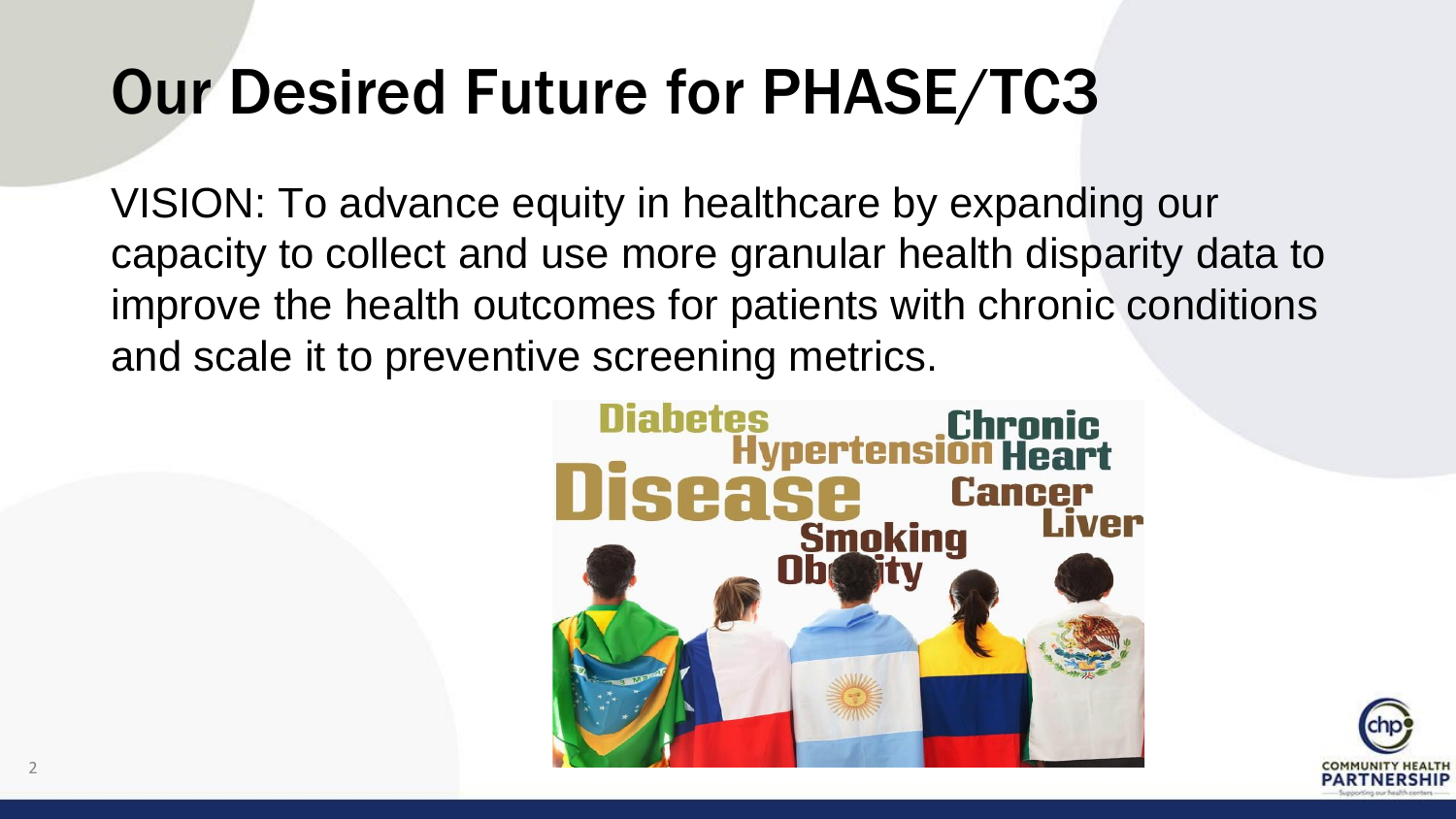#### Our Desired Future for PHASE/TC3

VISION: To advance equity in healthcare by expanding our capacity to collect and use more granular health disparity data to improve the health outcomes for patients with chronic conditions and scale it to preventive screening metrics.



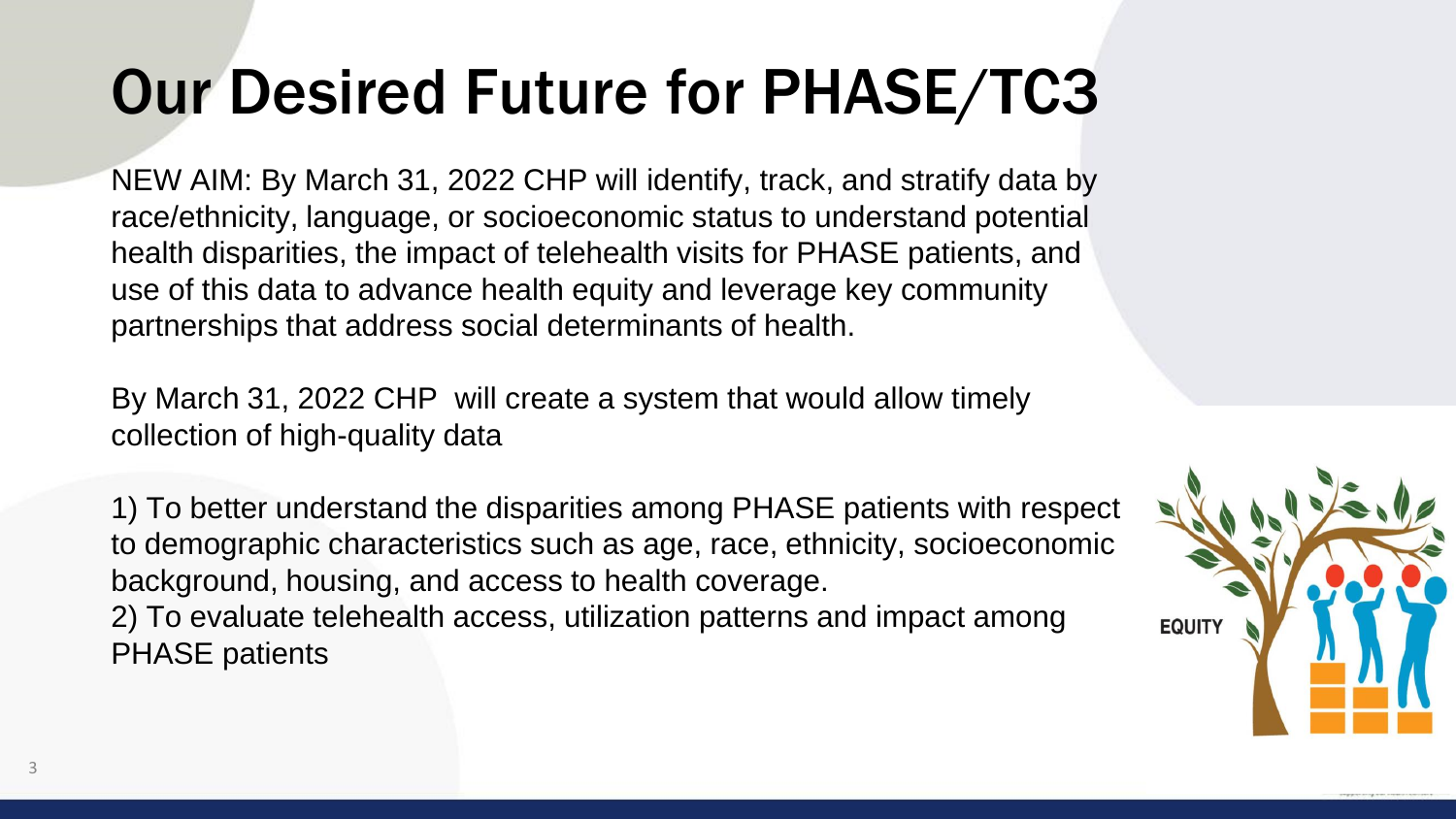#### Our Desired Future for PHASE/TC3

NEW AIM: By March 31, 2022 CHP will identify, track, and stratify data by race/ethnicity, language, or socioeconomic status to understand potential health disparities, the impact of telehealth visits for PHASE patients, and use of this data to advance health equity and leverage key community partnerships that address social determinants of health.

By March 31, 2022 CHP will create a system that would allow timely collection of high-quality data

1) To better understand the disparities among PHASE patients with respect to demographic characteristics such as age, race, ethnicity, socioeconomic background, housing, and access to health coverage.

2) To evaluate telehealth access, utilization patterns and impact among PHASE patients

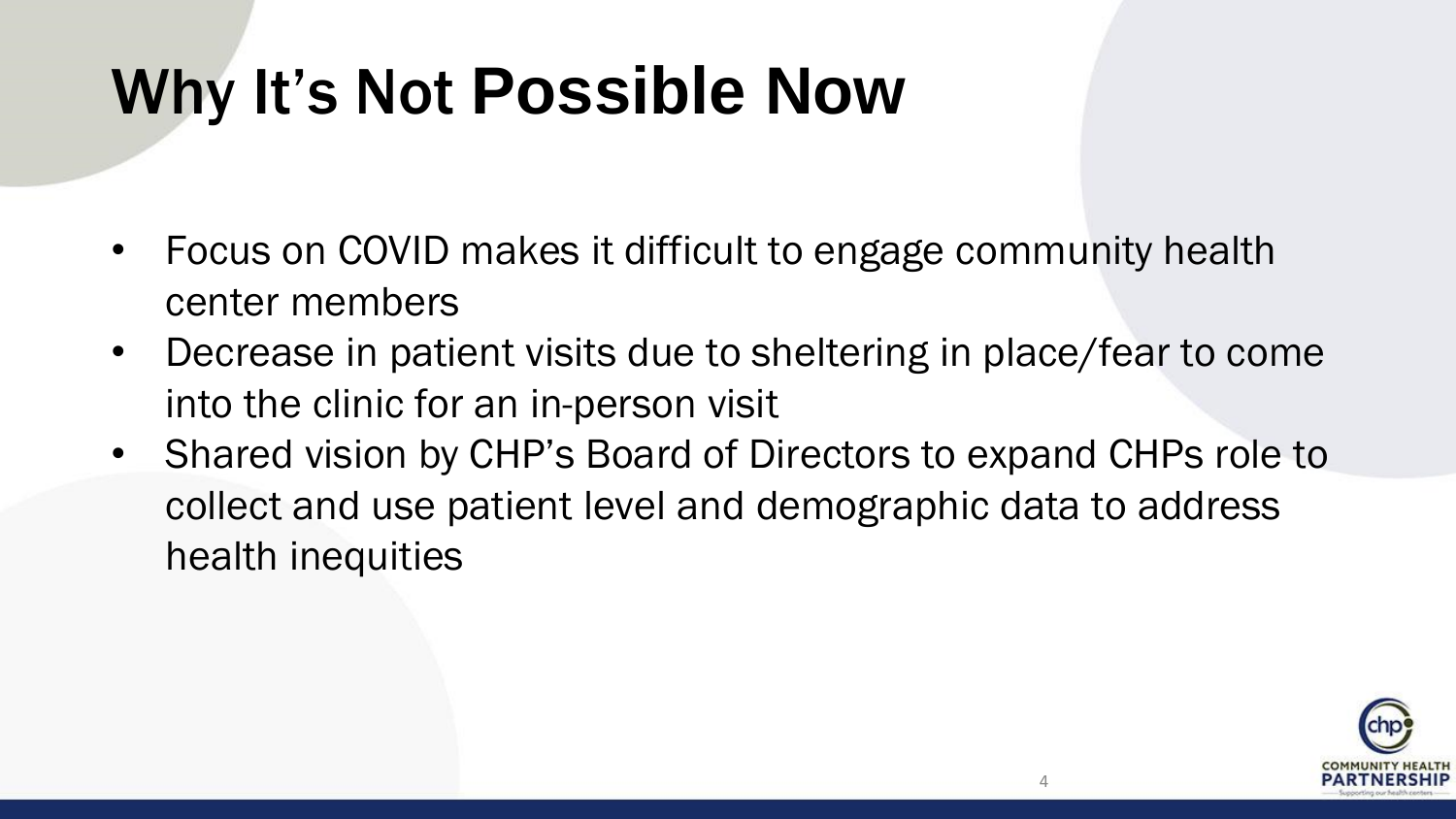### Why It's Not **Possible Now**

- Focus on COVID makes it difficult to engage community health center members
- Decrease in patient visits due to sheltering in place/fear to come into the clinic for an in-person visit
- Shared vision by CHP's Board of Directors to expand CHPs role to collect and use patient level and demographic data to address health inequities

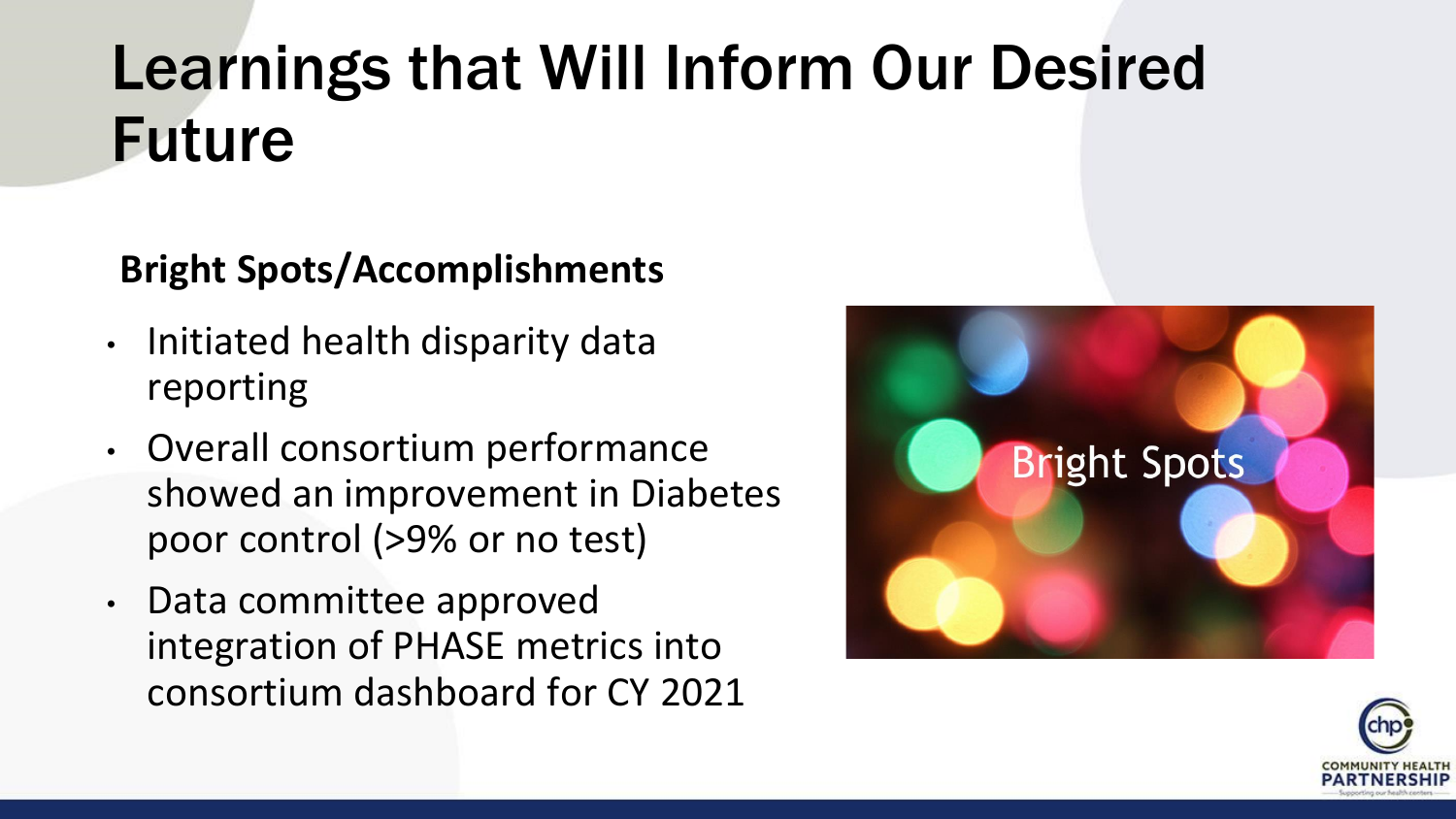#### Learnings that Will Inform Our Desired Future

#### **Bright Spots/Accomplishments**

- Initiated health disparity data reporting
- Overall consortium performance showed an improvement in Diabetes poor control (>9% or no test)
- Data committee approved integration of PHASE metrics into consortium dashboard for CY 2021



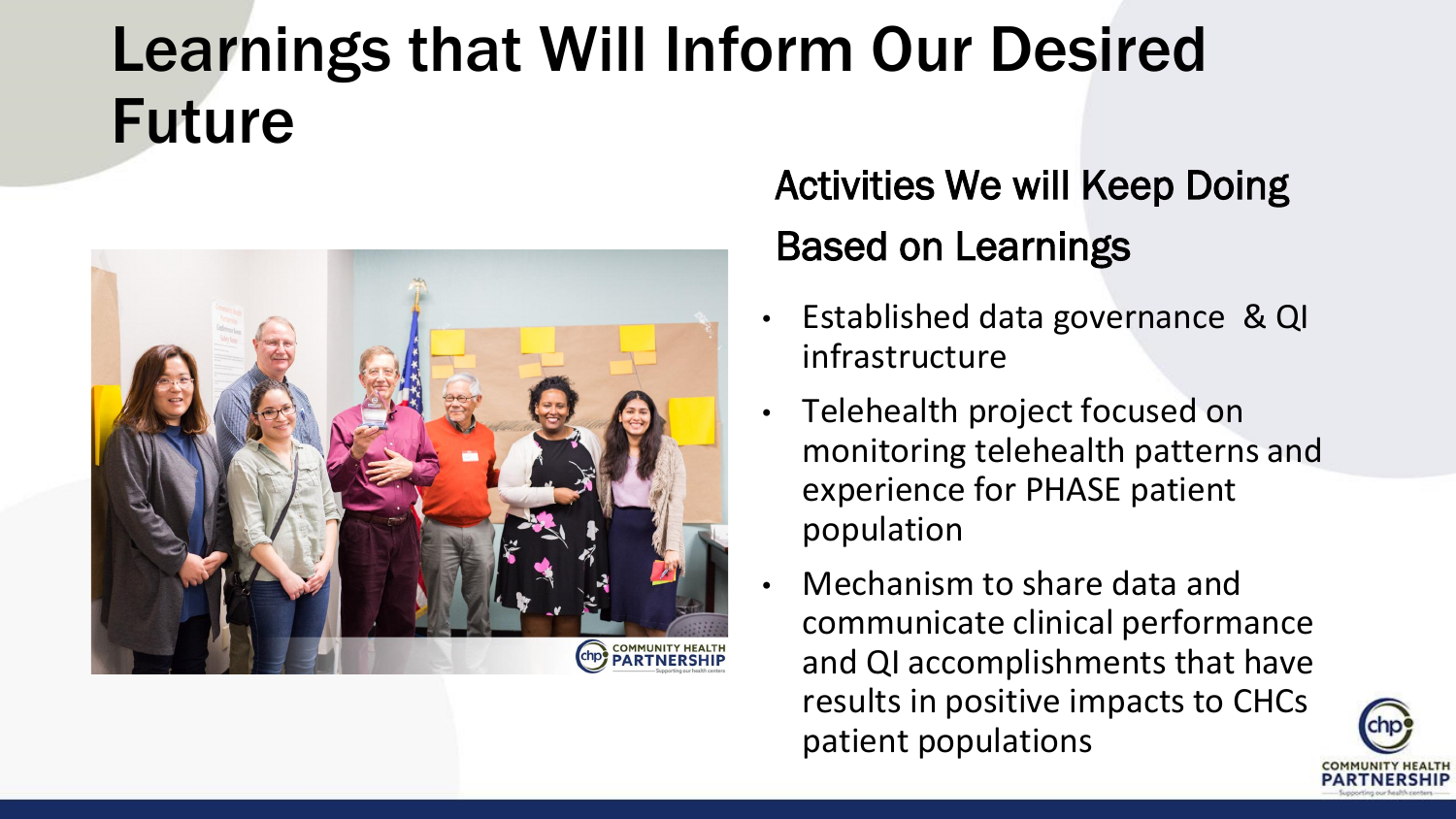#### Learnings that Will Inform Our Desired Future



Activities We will Keep Doing Based on Learnings

- Established data governance & QI infrastructure
- Telehealth project focused on monitoring telehealth patterns and experience for PHASE patient population
- Mechanism to share data and communicate clinical performance and QI accomplishments that have results in positive impacts to CHCs patient populations

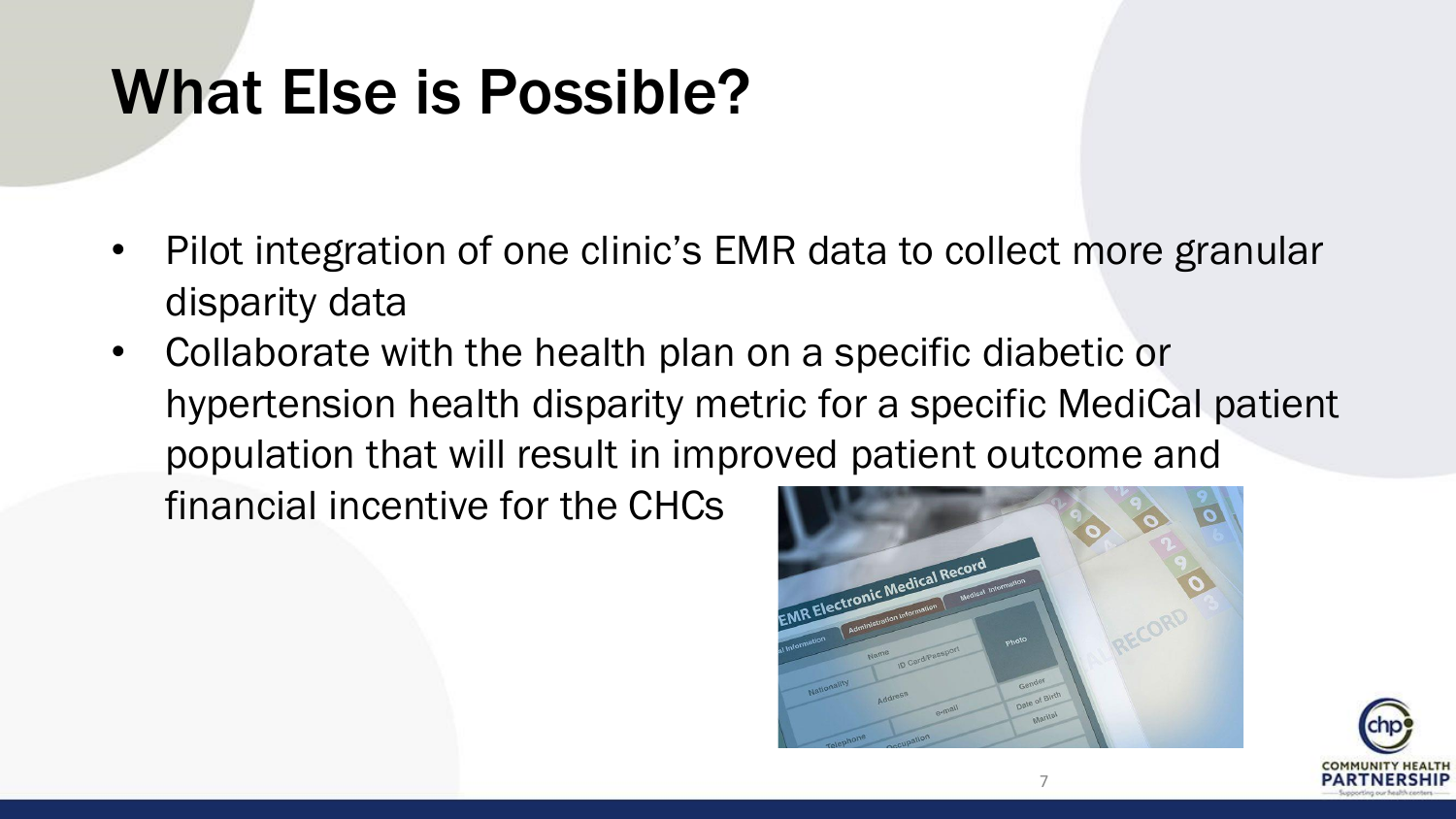#### What Else is Possible?

- Pilot integration of one clinic's EMR data to collect more granular disparity data
- Collaborate with the health plan on a specific diabetic or hypertension health disparity metric for a specific MediCal patient population that will result in improved patient outcome and financial incentive for the CHCs



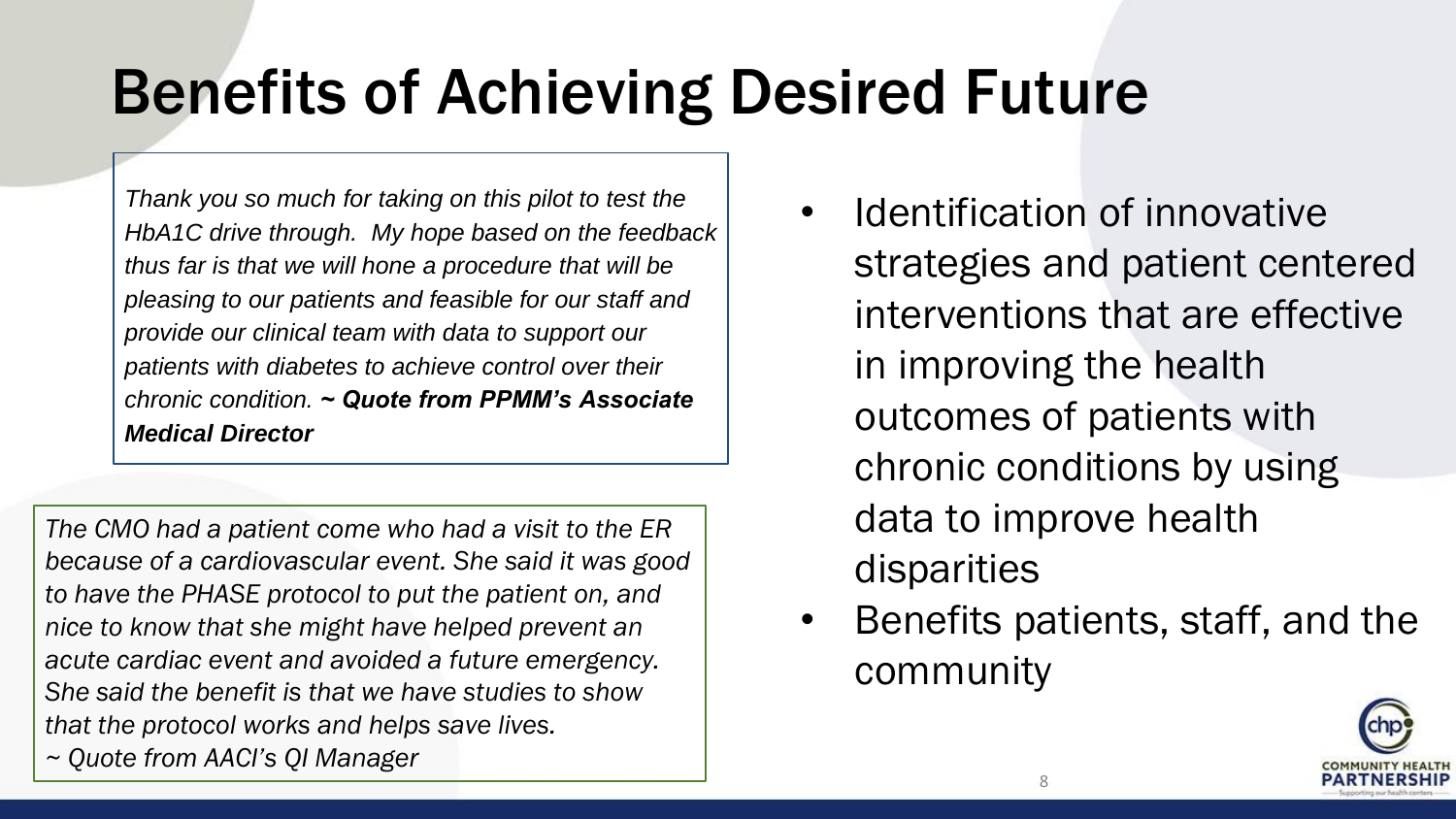#### Benefits of Achieving Desired Future

*Thank you so much for taking on this pilot to test the HbA1C drive through. My hope based on the feedback thus far is that we will hone a procedure that will be pleasing to our patients and feasible for our staff and provide our clinical team with data to support our patients with diabetes to achieve control over their chronic condition. ~ Quote from PPMM's Associate Medical Director*

*The CMO had a patient come who had a visit to the ER because of a cardiovascular event. She said it was good to have the PHASE protocol to put the patient on, and nice to know that she might have helped prevent an acute cardiac event and avoided a future emergency. She said the benefit is that we have studies to show that the protocol works and helps save lives. ~ Quote from AACI's QI Manager*

- Identification of innovative strategies and patient centered interventions that are effective in improving the health outcomes of patients with chronic conditions by using data to improve health disparities
- Benefits patients, staff, and the community

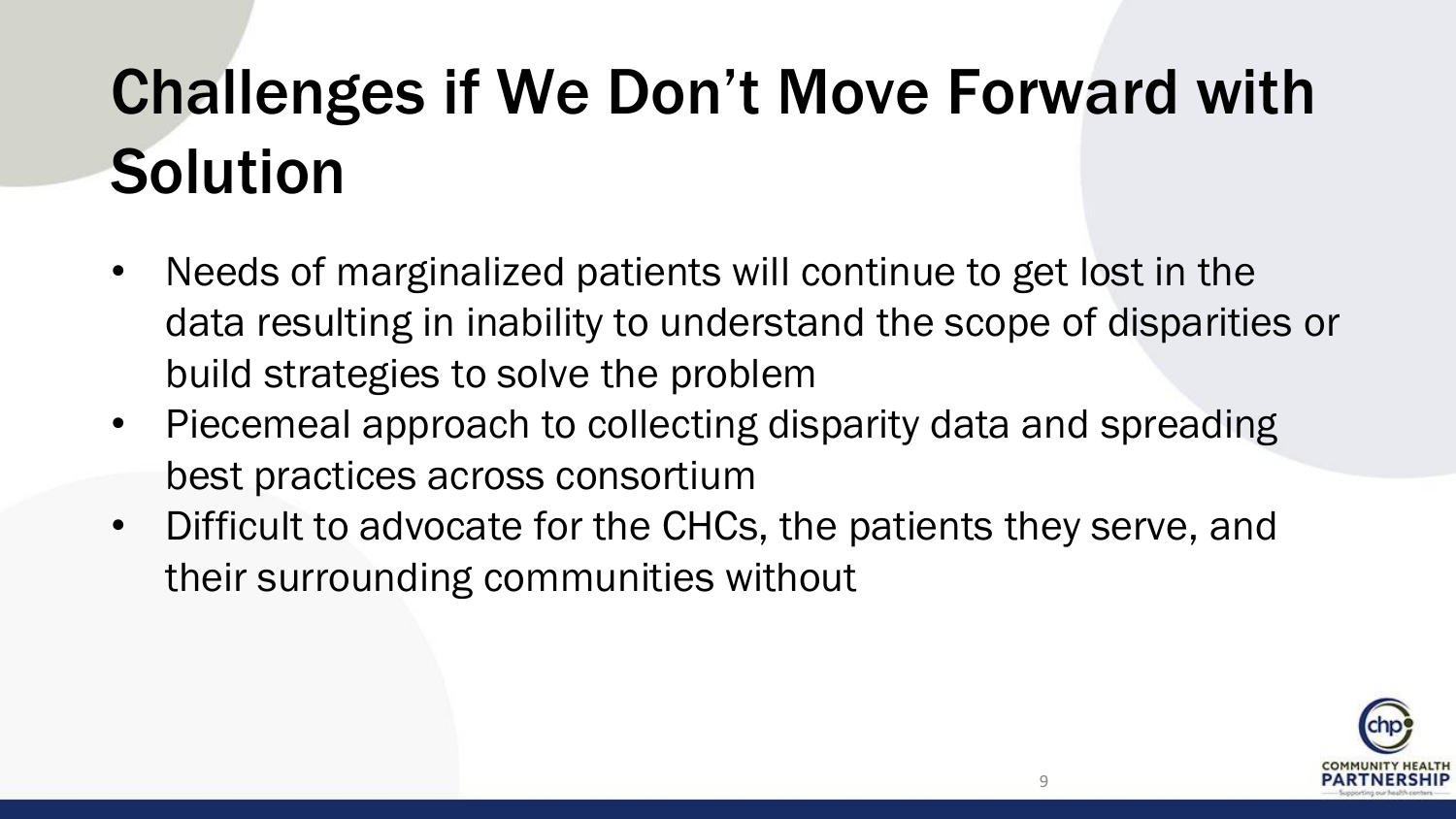## Challenges if We Don't Move Forward with **Solution**

- Needs of marginalized patients will continue to get lost in the data resulting in inability to understand the scope of disparities or build strategies to solve the problem
- Piecemeal approach to collecting disparity data and spreading best practices across consortium
- Difficult to advocate for the CHCs, the patients they serve, and their surrounding communities without

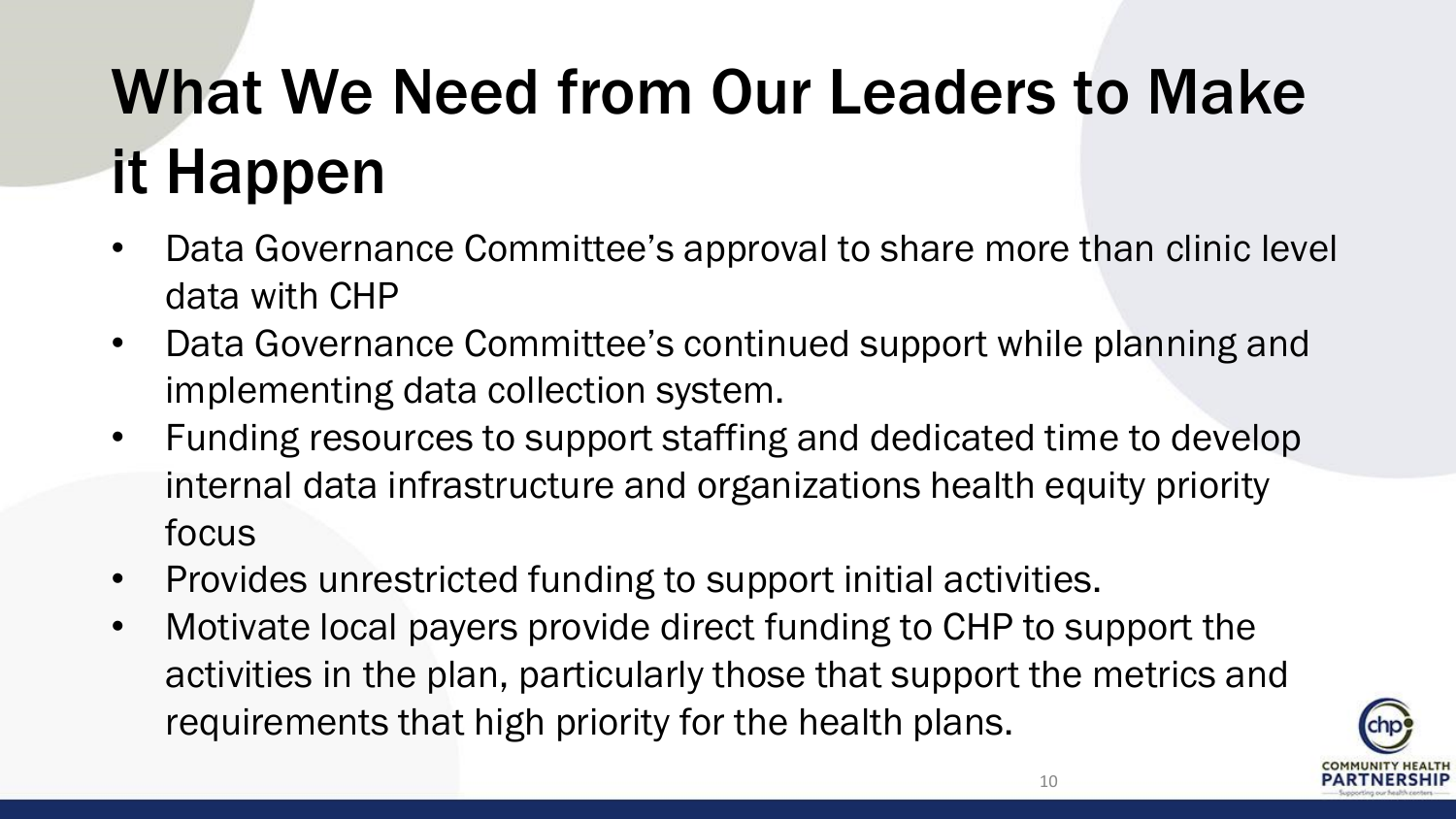## What We Need from Our Leaders to Make it Happen

- Data Governance Committee's approval to share more than clinic level data with CHP
- Data Governance Committee's continued support while planning and implementing data collection system.
- Funding resources to support staffing and dedicated time to develop internal data infrastructure and organizations health equity priority focus
- Provides unrestricted funding to support initial activities.
- Motivate local payers provide direct funding to CHP to support the activities in the plan, particularly those that support the metrics and requirements that high priority for the health plans.